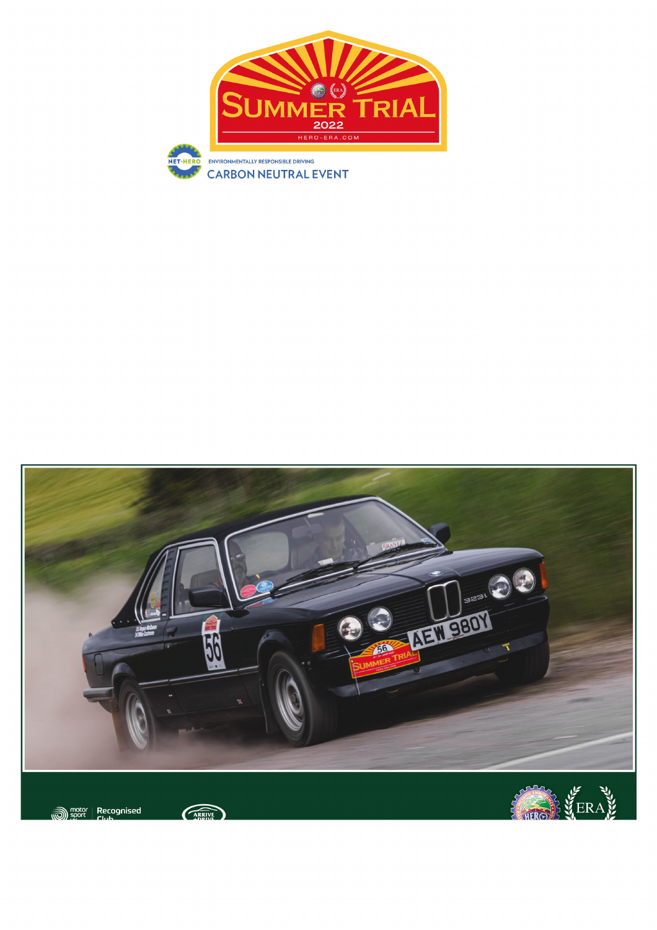# 5XX] h ] c b U ` ' G i d d ` FY[i `Uh]cbg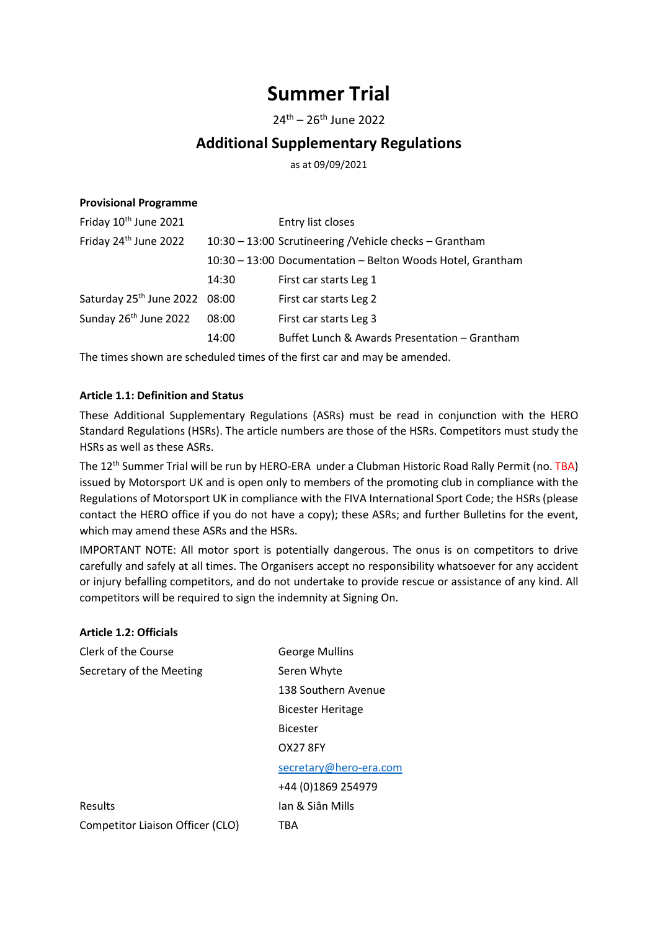## Summer Trial

 $24^{th} - 26^{th}$  June 2022

### Additional Supplementary Regulations

as at 09/09/2021

#### Provisional Programme

| Friday 24 <sup>th</sup> June 2022<br>10:30 - 13:00 Scrutineering / Vehicle checks - Grantham<br>10:30 - 13:00 Documentation - Belton Woods Hotel, Grantham<br>14:30<br>First car starts Leg 1<br>Saturday 25 <sup>th</sup> June 2022 08:00<br>First car starts Leg 2<br>Sunday 26 <sup>th</sup> June 2022<br>08:00<br>First car starts Leg 3<br>Buffet Lunch & Awards Presentation - Grantham<br>14:00 | Friday 10 <sup>th</sup> June 2021 | Entry list closes |
|--------------------------------------------------------------------------------------------------------------------------------------------------------------------------------------------------------------------------------------------------------------------------------------------------------------------------------------------------------------------------------------------------------|-----------------------------------|-------------------|
|                                                                                                                                                                                                                                                                                                                                                                                                        |                                   |                   |
|                                                                                                                                                                                                                                                                                                                                                                                                        |                                   |                   |
|                                                                                                                                                                                                                                                                                                                                                                                                        |                                   |                   |
|                                                                                                                                                                                                                                                                                                                                                                                                        |                                   |                   |
|                                                                                                                                                                                                                                                                                                                                                                                                        |                                   |                   |
|                                                                                                                                                                                                                                                                                                                                                                                                        |                                   |                   |

The times shown are scheduled times of the first car and may be amended.

#### Article 1.1: Definition and Status

These Additional Supplementary Regulations (ASRs) must be read in conjunction with the HERO Standard Regulations (HSRs). The article numbers are those of the HSRs. Competitors must study the HSRs as well as these ASRs.

The 12<sup>th</sup> Summer Trial will be run by HERO-ERA under a Clubman Historic Road Rally Permit (no. TBA) issued by Motorsport UK and is open only to members of the promoting club in compliance with the Regulations of Motorsport UK in compliance with the FIVA International Sport Code; the HSRs (please contact the HERO office if you do not have a copy); these ASRs; and further Bulletins for the event, which may amend these ASRs and the HSRs.

IMPORTANT NOTE: All motor sport is potentially dangerous. The onus is on competitors to drive carefully and safely at all times. The Organisers accept no responsibility whatsoever for any accident or injury befalling competitors, and do not undertake to provide rescue or assistance of any kind. All competitors will be required to sign the indemnity at Signing On.

| <b>Article 1.2: Officials</b>    |                          |
|----------------------------------|--------------------------|
| Clerk of the Course              | <b>George Mullins</b>    |
| Secretary of the Meeting         | Seren Whyte              |
|                                  | 138 Southern Avenue      |
|                                  | <b>Bicester Heritage</b> |
|                                  | <b>Bicester</b>          |
|                                  | OX27 8FY                 |
|                                  | secretary@hero-era.com   |
|                                  | +44 (0)1869 254979       |
| Results                          | Jan & Siân Mills         |
| Competitor Liaison Officer (CLO) | TBA                      |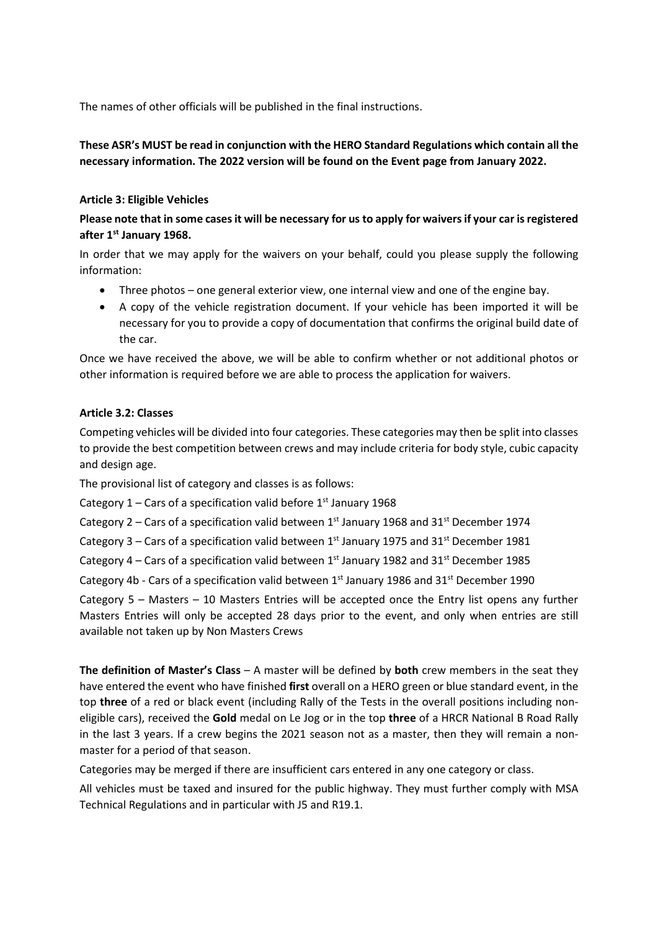The names of other officials will be published in the final instructions.

#### These ASR's MUST be read in conjunction with the HERO Standard Regulations which contain all the necessary information. The 2022 version will be found on the Event page from January 2022.

#### Article 3: Eligible Vehicles

#### Please note that in some cases it will be necessary for us to apply for waivers if your car is registered after 1<sup>st</sup> January 1968.

In order that we may apply for the waivers on your behalf, could you please supply the following information:

- Three photos one general exterior view, one internal view and one of the engine bay.
- A copy of the vehicle registration document. If your vehicle has been imported it will be necessary for you to provide a copy of documentation that confirms the original build date of the car.

Once we have received the above, we will be able to confirm whether or not additional photos or other information is required before we are able to process the application for waivers.

#### Article 3.2: Classes

Competing vehicles will be divided into four categories. These categories may then be split into classes to provide the best competition between crews and may include criteria for body style, cubic capacity and design age.

The provisional list of category and classes is as follows:

Category  $1$  – Cars of a specification valid before  $1<sup>st</sup>$  January 1968

Category 2 – Cars of a specification valid between  $1<sup>st</sup>$  January 1968 and 31<sup>st</sup> December 1974

Category 3 – Cars of a specification valid between 1st January 1975 and 31st December 1981

Category 4 – Cars of a specification valid between  $1^{st}$  January 1982 and 31 $^{st}$  December 1985

Category 4b - Cars of a specification valid between  $1<sup>st</sup>$  January 1986 and 31<sup>st</sup> December 1990

Category 5 – Masters – 10 Masters Entries will be accepted once the Entry list opens any further Masters Entries will only be accepted 28 days prior to the event, and only when entries are still available not taken up by Non Masters Crews

The definition of Master's Class - A master will be defined by both crew members in the seat they have entered the event who have finished first overall on a HERO green or blue standard event, in the top three of a red or black event (including Rally of the Tests in the overall positions including noneligible cars), received the Gold medal on Le Jog or in the top three of a HRCR National B Road Rally in the last 3 years. If a crew begins the 2021 season not as a master, then they will remain a nonmaster for a period of that season.

Categories may be merged if there are insufficient cars entered in any one category or class.

All vehicles must be taxed and insured for the public highway. They must further comply with MSA Technical Regulations and in particular with J5 and R19.1.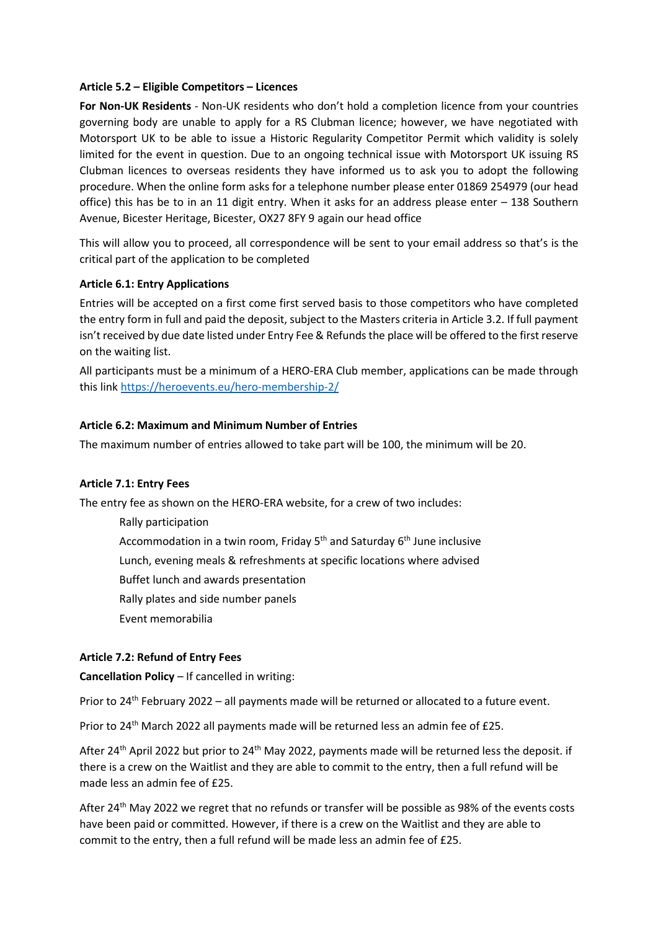#### Article 5.2 – Eligible Competitors – Licences

For Non-UK Residents - Non-UK residents who don't hold a completion licence from your countries governing body are unable to apply for a RS Clubman licence; however, we have negotiated with Motorsport UK to be able to issue a Historic Regularity Competitor Permit which validity is solely limited for the event in question. Due to an ongoing technical issue with Motorsport UK issuing RS Clubman licences to overseas residents they have informed us to ask you to adopt the following procedure. When the online form asks for a telephone number please enter 01869 254979 (our head office) this has be to in an 11 digit entry. When it asks for an address please enter – 138 Southern Avenue, Bicester Heritage, Bicester, OX27 8FY 9 again our head office

This will allow you to proceed, all correspondence will be sent to your email address so that's is the critical part of the application to be completed

#### Article 6.1: Entry Applications

Entries will be accepted on a first come first served basis to those competitors who have completed the entry form in full and paid the deposit, subject to the Masters criteria in Article 3.2. If full payment isn't received by due date listed under Entry Fee & Refunds the place will be offered to the first reserve on the waiting list.

All participants must be a minimum of a HERO-ERA Club member, applications can be made through this link https://heroevents.eu/hero-membership-2/

#### Article 6.2: Maximum and Minimum Number of Entries

The maximum number of entries allowed to take part will be 100, the minimum will be 20.

#### Article 7.1: Entry Fees

The entry fee as shown on the HERO-ERA website, for a crew of two includes:

Rally participation

Accommodation in a twin room. Friday  $5<sup>th</sup>$  and Saturday  $6<sup>th</sup>$  June inclusive

Lunch, evening meals & refreshments at specific locations where advised

Buffet lunch and awards presentation

Rally plates and side number panels

Event memorabilia

#### Article 7.2: Refund of Entry Fees

Cancellation Policy – If cancelled in writing:

Prior to 24<sup>th</sup> February 2022 – all payments made will be returned or allocated to a future event.

Prior to 24<sup>th</sup> March 2022 all payments made will be returned less an admin fee of £25.

After 24<sup>th</sup> April 2022 but prior to 24<sup>th</sup> May 2022, payments made will be returned less the deposit. if there is a crew on the Waitlist and they are able to commit to the entry, then a full refund will be made less an admin fee of £25.

After 24<sup>th</sup> May 2022 we regret that no refunds or transfer will be possible as 98% of the events costs have been paid or committed. However, if there is a crew on the Waitlist and they are able to commit to the entry, then a full refund will be made less an admin fee of £25.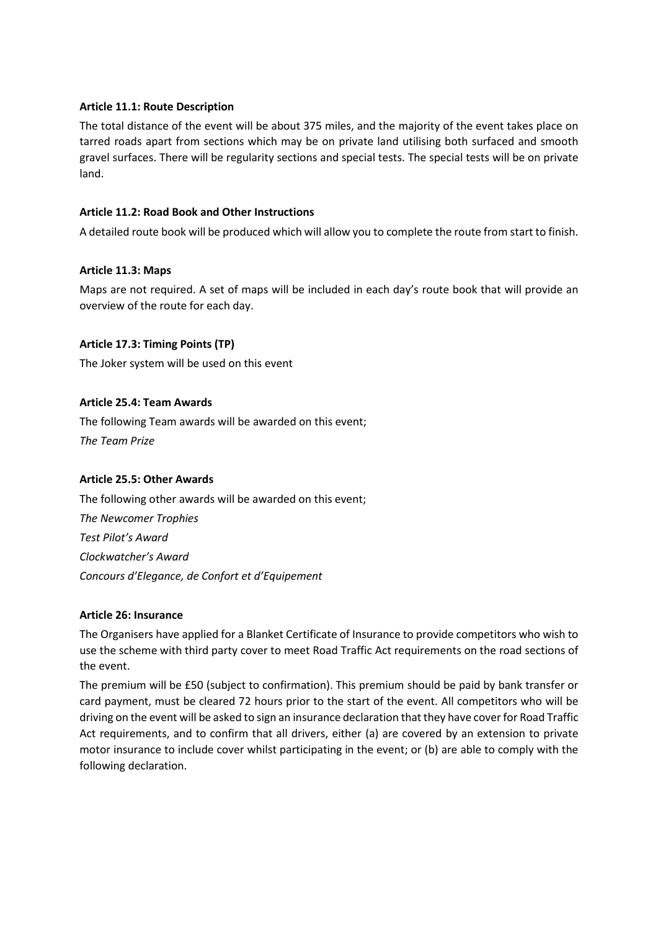#### Article 11.1: Route Description

The total distance of the event will be about 375 miles, and the majority of the event takes place on tarred roads apart from sections which may be on private land utilising both surfaced and smooth gravel surfaces. There will be regularity sections and special tests. The special tests will be on private land.

#### Article 11.2: Road Book and Other Instructions

A detailed route book will be produced which will allow you to complete the route from start to finish.

#### Article 11.3: Maps

Maps are not required. A set of maps will be included in each day's route book that will provide an overview of the route for each day.

#### Article 17.3: Timing Points (TP)

The Joker system will be used on this event

#### Article 25.4: Team Awards

The following Team awards will be awarded on this event; The Team Prize

#### Article 25.5: Other Awards

The following other awards will be awarded on this event; The Newcomer Trophies Test Pilot's Award Clockwatcher's Award Concours d'Elegance, de Confort et d'Equipement

#### Article 26: Insurance

The Organisers have applied for a Blanket Certificate of Insurance to provide competitors who wish to use the scheme with third party cover to meet Road Traffic Act requirements on the road sections of the event.

The premium will be £50 (subject to confirmation). This premium should be paid by bank transfer or card payment, must be cleared 72 hours prior to the start of the event. All competitors who will be driving on the event will be asked to sign an insurance declaration that they have cover for Road Traffic Act requirements, and to confirm that all drivers, either (a) are covered by an extension to private motor insurance to include cover whilst participating in the event; or (b) are able to comply with the following declaration.